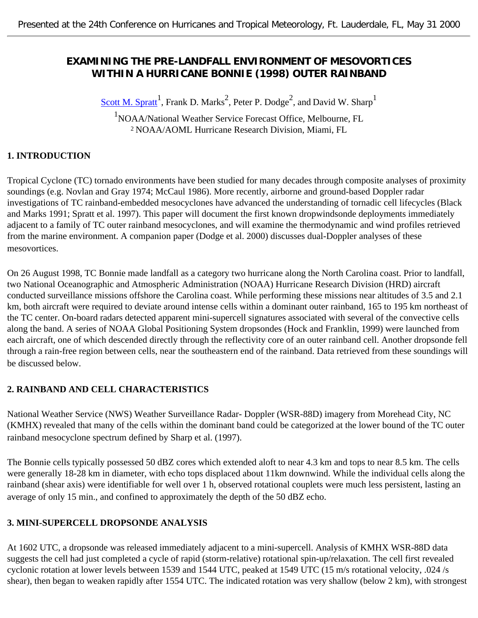## **EXAMINING THE PRE-LANDFALL ENVIRONMENT OF MESOVORTICES WITHIN A HURRICANE BONNIE (1998) OUTER RAINBAND**

Scott M. Spratt<sup>1</sup>, Frank D. Marks<sup>2</sup>, Peter P. Dodge<sup>2</sup>, and David W. Sharp<sup>1</sup>

1 NOAA/National Weather Service Forecast Office, Melbourne, FL <sup>2</sup> NOAA/AOML Hurricane Research Division, Miami, FL

## **1. INTRODUCTION**

Tropical Cyclone (TC) tornado environments have been studied for many decades through composite analyses of proximity soundings (e.g. Novlan and Gray 1974; McCaul 1986). More recently, airborne and ground-based Doppler radar investigations of TC rainband-embedded mesocyclones have advanced the understanding of tornadic cell lifecycles (Black and Marks 1991; Spratt et al. 1997). This paper will document the first known dropwindsonde deployments immediately adjacent to a family of TC outer rainband mesocyclones, and will examine the thermodynamic and wind profiles retrieved from the marine environment. A companion paper (Dodge et al. 2000) discusses dual-Doppler analyses of these mesovortices.

On 26 August 1998, TC Bonnie made landfall as a category two hurricane along the North Carolina coast. Prior to landfall, two National Oceanographic and Atmospheric Administration (NOAA) Hurricane Research Division (HRD) aircraft conducted surveillance missions offshore the Carolina coast. While performing these missions near altitudes of 3.5 and 2.1 km, both aircraft were required to deviate around intense cells within a dominant outer rainband, 165 to 195 km northeast of the TC center. On-board radars detected apparent mini-supercell signatures associated with several of the convective cells along the band. A series of NOAA Global Positioning System dropsondes (Hock and Franklin, 1999) were launched from each aircraft, one of which descended directly through the reflectivity core of an outer rainband cell. Another dropsonde fell through a rain-free region between cells, near the southeastern end of the rainband. Data retrieved from these soundings will be discussed below.

### **2. RAINBAND AND CELL CHARACTERISTICS**

National Weather Service (NWS) Weather Surveillance Radar- Doppler (WSR-88D) imagery from Morehead City, NC (KMHX) revealed that many of the cells within the dominant band could be categorized at the lower bound of the TC outer rainband mesocyclone spectrum defined by Sharp et al. (1997).

The Bonnie cells typically possessed 50 dBZ cores which extended aloft to near 4.3 km and tops to near 8.5 km. The cells were generally 18-28 km in diameter, with echo tops displaced about 11km downwind. While the individual cells along the rainband (shear axis) were identifiable for well over 1 h, observed rotational couplets were much less persistent, lasting an average of only 15 min., and confined to approximately the depth of the 50 dBZ echo.

### **3. MINI-SUPERCELL DROPSONDE ANALYSIS**

At 1602 UTC, a dropsonde was released immediately adjacent to a mini-supercell. Analysis of KMHX WSR-88D data suggests the cell had just completed a cycle of rapid (storm-relative) rotational spin-up/relaxation. The cell first revealed cyclonic rotation at lower levels between 1539 and 1544 UTC, peaked at 1549 UTC (15 m/s rotational velocity, .024 /s shear), then began to weaken rapidly after 1554 UTC. The indicated rotation was very shallow (below 2 km), with strongest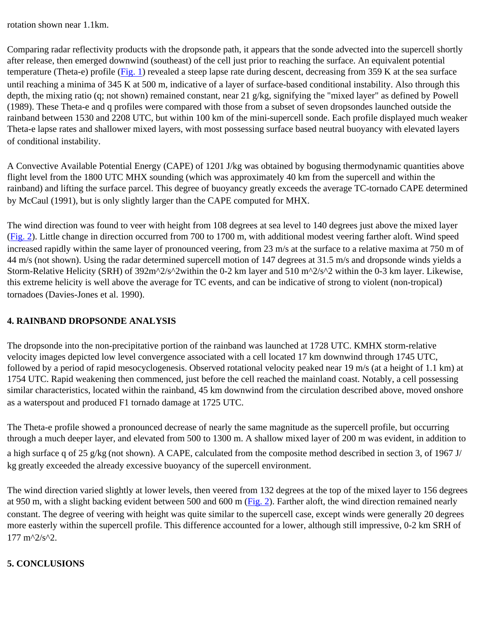rotation shown near 1.1km.

Comparing radar reflectivity products with the dropsonde path, it appears that the sonde advected into the supercell shortly after release, then emerged downwind (southeast) of the cell just prior to reaching the surface. An equivalent potential temperature (Theta-e) profile ([Fig. 1](#page-2-0)) revealed a steep lapse rate during descent, decreasing from 359 K at the sea surface until reaching a minima of 345 K at 500 m, indicative of a layer of surface-based conditional instability. Also through this depth, the mixing ratio (q; not shown) remained constant, near 21 g/kg, signifying the "mixed layer" as defined by Powell (1989). These Theta-e and q profiles were compared with those from a subset of seven dropsondes launched outside the rainband between 1530 and 2208 UTC, but within 100 km of the mini-supercell sonde. Each profile displayed much weaker Theta-e lapse rates and shallower mixed layers, with most possessing surface based neutral buoyancy with elevated layers of conditional instability.

A Convective Available Potential Energy (CAPE) of 1201 J/kg was obtained by bogusing thermodynamic quantities above flight level from the 1800 UTC MHX sounding (which was approximately 40 km from the supercell and within the rainband) and lifting the surface parcel. This degree of buoyancy greatly exceeds the average TC-tornado CAPE determined by McCaul (1991), but is only slightly larger than the CAPE computed for MHX.

The wind direction was found to veer with height from 108 degrees at sea level to 140 degrees just above the mixed layer [\(Fig. 2\)](#page-3-0). Little change in direction occurred from 700 to 1700 m, with additional modest veering farther aloft. Wind speed increased rapidly within the same layer of pronounced veering, from 23 m/s at the surface to a relative maxima at 750 m of 44 m/s (not shown). Using the radar determined supercell motion of 147 degrees at 31.5 m/s and dropsonde winds yields a Storm-Relative Helicity (SRH) of 392m^2/s^2within the 0-2 km layer and 510 m^2/s^2 within the 0-3 km layer. Likewise, this extreme helicity is well above the average for TC events, and can be indicative of strong to violent (non-tropical) tornadoes (Davies-Jones et al. 1990).

# **4. RAINBAND DROPSONDE ANALYSIS**

The dropsonde into the non-precipitative portion of the rainband was launched at 1728 UTC. KMHX storm-relative velocity images depicted low level convergence associated with a cell located 17 km downwind through 1745 UTC, followed by a period of rapid mesocyclogenesis. Observed rotational velocity peaked near 19 m/s (at a height of 1.1 km) at 1754 UTC. Rapid weakening then commenced, just before the cell reached the mainland coast. Notably, a cell possessing similar characteristics, located within the rainband, 45 km downwind from the circulation described above, moved onshore as a waterspout and produced F1 tornado damage at 1725 UTC.

The Theta-e profile showed a pronounced decrease of nearly the same magnitude as the supercell profile, but occurring through a much deeper layer, and elevated from 500 to 1300 m. A shallow mixed layer of 200 m was evident, in addition to a high surface q of 25 g/kg (not shown). A CAPE, calculated from the composite method described in section 3, of 1967 J/ kg greatly exceeded the already excessive buoyancy of the supercell environment.

The wind direction varied slightly at lower levels, then veered from 132 degrees at the top of the mixed layer to 156 degrees at 950 m, with a slight backing evident between 500 and 600 m [\(Fig. 2\)](#page-3-0). Farther aloft, the wind direction remained nearly constant. The degree of veering with height was quite similar to the supercell case, except winds were generally 20 degrees more easterly within the supercell profile. This difference accounted for a lower, although still impressive, 0-2 km SRH of  $177 \text{ m}^2/\text{s}^2$ .

### **5. CONCLUSIONS**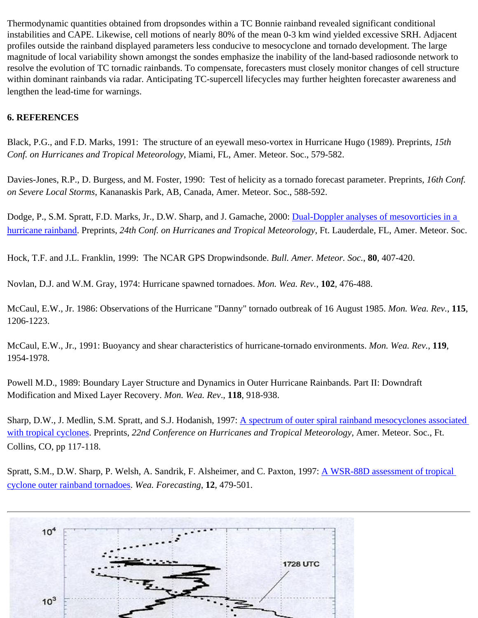Thermodynamic quantities obtained from dropsondes within a TC Bonnie rainband revealed significant conditional instabilities and CAPE. Likewise, cell motions of nearly 80% of the mean 0-3 km wind yielded excessive SRH. Adjacent profiles outside the rainband displayed parameters less conducive to mesocyclone and tornado development. The large magnitude of local variability shown amongst the sondes emphasize the inability of the land-based radiosonde network to resolve the evolution of TC tornadic rainbands. To compensate, forecasters must closely monitor changes of cell structure within dominant rainbands via radar. Anticipating TC-supercell lifecycles may further heighten forecaster awareness and lengthen the lead-time for warnings.

#### **6. REFERENCES**

Black, P.G., and F.D. Marks, 1991: The structure of an eyewall meso-vortex in Hurricane Hugo (1989). Preprints, *15th Conf. on Hurricanes and Tropical Meteorology*, Miami, FL, Amer. Meteor. Soc., 579-582.

Davies-Jones, R.P., D. Burgess, and M. Foster, 1990: Test of helicity as a tornado forecast parameter. Preprints, *16th Conf. on Severe Local Storms*, Kananaskis Park, AB, Canada, Amer. Meteor. Soc., 588-592.

Dodge, P., S.M. Spratt, F.D. Marks, Jr., D.W. Sharp, and J. Gamache, 2000: Dual-Doppler analyses of mesovorticies in a [hurricane rainband.](ftp://ftp.aoml.noaa.gov/hrd/pub/marks/24th_conf_%28Dodge%29.pdf) Preprints, *24th Conf. on Hurricanes and Tropical Meteorology*, Ft. Lauderdale, FL, Amer. Meteor. Soc.

Hock, T.F. and J.L. Franklin, 1999: The NCAR GPS Dropwindsonde. *Bull. Amer. Meteor. Soc.*, **80**, 407-420.

Novlan, D.J. and W.M. Gray, 1974: Hurricane spawned tornadoes. *Mon. Wea. Rev.*, **102**, 476-488.

McCaul, E.W., Jr. 1986: Observations of the Hurricane "Danny" tornado outbreak of 16 August 1985. *Mon. Wea. Rev.*, **115**, 1206-1223.

McCaul, E.W., Jr., 1991: Buoyancy and shear characteristics of hurricane-tornado environments. *Mon. Wea. Rev.*, **119**, 1954-1978.

Powell M.D., 1989: Boundary Layer Structure and Dynamics in Outer Hurricane Rainbands. Part II: Downdraft Modification and Mixed Layer Recovery. *Mon. Wea. Rev*., **118**, 918-938.

Sharp, D.W., J. Medlin, S.M. Spratt, and S.J. Hodanish, 1997: A spectrum of outer spiral rainband mesocyclones associated [with tropical cyclones](http://www.srh.noaa.gov/mlb/trop97dws.html). Preprints, *22nd Conference on Hurricanes and Tropical Meteorology*, Amer. Meteor. Soc., Ft. Collins, CO, pp 117-118.

Spratt, S.M., D.W. Sharp, P. Welsh, A. Sandrik, F. Alsheimer, and C. Paxton, 1997: [A WSR-88D assessment of tropical](http://www.srh.noaa.gov/mlb/waf2.html)  [cyclone outer rainband tornadoes](http://www.srh.noaa.gov/mlb/waf2.html). *Wea. Forecasting*, **12**, 479-501.

<span id="page-2-0"></span>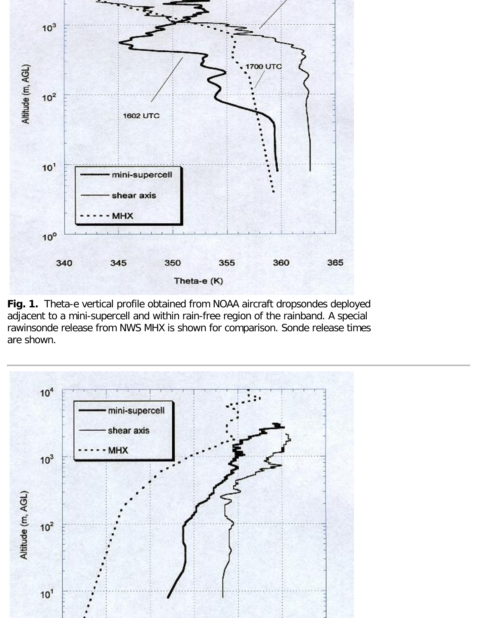

**Fig. 1.** Theta-e vertical profile obtained from NOAA aircraft dropsondes deployed adjacent to a mini-supercell and within rain-free region of the rainband. A special rawinsonde release from NWS MHX is shown for comparison. Sonde release times are shown.

<span id="page-3-0"></span>